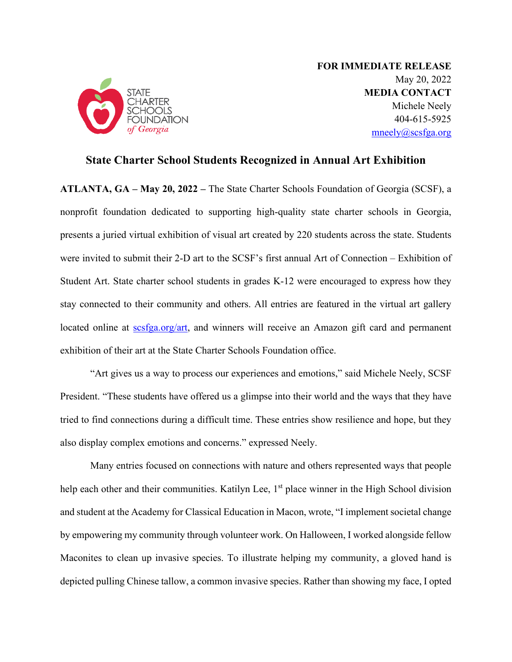

**FOR IMMEDIATE RELEASE** May 20, 2022 **MEDIA CONTACT** Michele Neely 404-615-5925 [mneely@scsfga.org](mailto:mneely@scsfga.org)

# **State Charter School Students Recognized in Annual Art Exhibition**

**ATLANTA, GA – May 20, 2022 –** The State Charter Schools Foundation of Georgia (SCSF), a nonprofit foundation dedicated to supporting high-quality state charter schools in Georgia, presents a juried virtual exhibition of visual art created by 220 students across the state. Students were invited to submit their 2-D art to the SCSF's first annual Art of Connection – Exhibition of Student Art. State charter school students in grades K-12 were encouraged to express how they stay connected to their community and others. All entries are featured in the virtual art gallery located online at scsfga.org/art, and winners will receive an Amazon gift card and permanent exhibition of their art at the State Charter Schools Foundation office.

"Art gives us a way to process our experiences and emotions," said Michele Neely, SCSF President. "These students have offered us a glimpse into their world and the ways that they have tried to find connections during a difficult time. These entries show resilience and hope, but they also display complex emotions and concerns." expressed Neely.

Many entries focused on connections with nature and others represented ways that people help each other and their communities. Katilyn Lee, 1<sup>st</sup> place winner in the High School division and student at the Academy for Classical Education in Macon, wrote, "I implement societal change by empowering my community through volunteer work. On Halloween, I worked alongside fellow Maconites to clean up invasive species. To illustrate helping my community, a gloved hand is depicted pulling Chinese tallow, a common invasive species. Rather than showing my face, I opted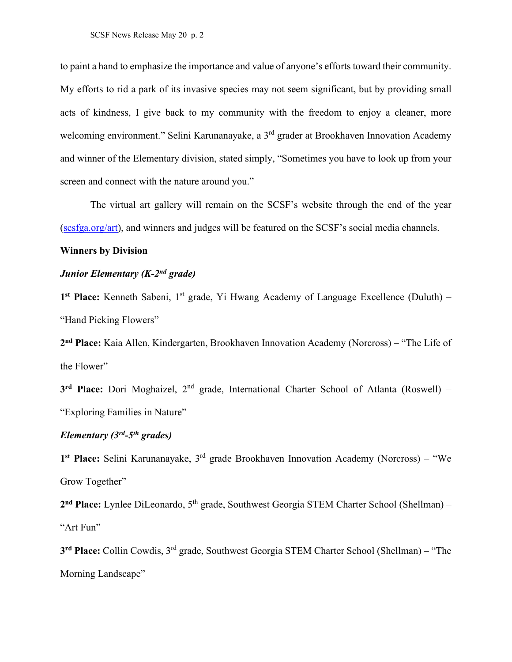to paint a hand to emphasize the importance and value of anyone's efforts toward their community. My efforts to rid a park of its invasive species may not seem significant, but by providing small acts of kindness, I give back to my community with the freedom to enjoy a cleaner, more welcoming environment." Selini Karunanayake, a 3<sup>rd</sup> grader at Brookhaven Innovation Academy and winner of the Elementary division, stated simply, "Sometimes you have to look up from your screen and connect with the nature around you."

The virtual art gallery will remain on the SCSF's website through the end of the year (scsfga.org/art), and winners and judges will be featured on the SCSF's social media channels.

#### **Winners by Division**

## *Junior Elementary (K-2nd grade)*

1<sup>st</sup> **Place:** Kenneth Sabeni, 1<sup>st</sup> grade, Yi Hwang Academy of Language Excellence (Duluth) – "Hand Picking Flowers"

**2nd Place:** Kaia Allen, Kindergarten, Brookhaven Innovation Academy (Norcross) – "The Life of the Flower"

**3rd Place:** Dori Moghaizel, 2nd grade, International Charter School of Atlanta (Roswell) – "Exploring Families in Nature"

## *Elementary (3rd-5th grades)*

**1st Place:** Selini Karunanayake, 3rd grade Brookhaven Innovation Academy (Norcross) – "We Grow Together"

2<sup>nd</sup> **Place:** Lynlee DiLeonardo, 5<sup>th</sup> grade, Southwest Georgia STEM Charter School (Shellman) – "Art Fun"

**3rd Place:** Collin Cowdis, 3rd grade, Southwest Georgia STEM Charter School (Shellman) – "The Morning Landscape"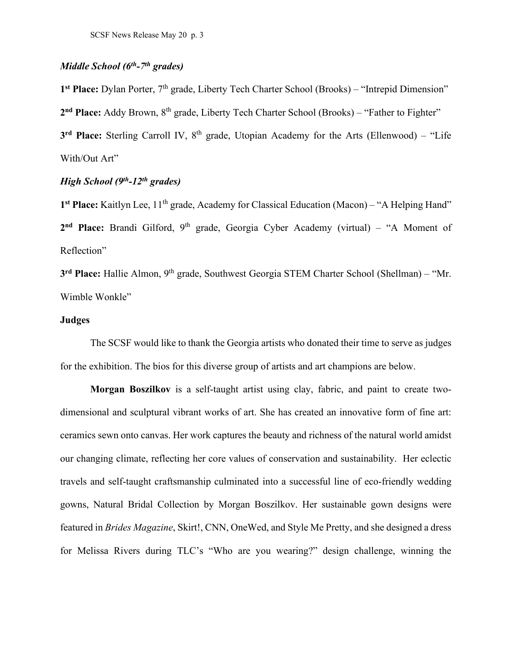## *Middle School (6th-7th grades)*

1<sup>st</sup> **Place:** Dylan Porter, 7<sup>th</sup> grade, Liberty Tech Charter School (Brooks) – "Intrepid Dimension" 2<sup>nd</sup> **Place:** Addy Brown, 8<sup>th</sup> grade, Liberty Tech Charter School (Brooks) – "Father to Fighter" **3<sup>rd</sup> Place:** Sterling Carroll IV, 8<sup>th</sup> grade, Utopian Academy for the Arts (Ellenwood) – "Life With/Out Art"

## *High School (9th-12th grades)*

1<sup>st</sup> **Place:** Kaitlyn Lee, 11<sup>th</sup> grade, Academy for Classical Education (Macon) – "A Helping Hand" 2<sup>nd</sup> **Place:** Brandi Gilford, 9<sup>th</sup> grade, Georgia Cyber Academy (virtual) – "A Moment of Reflection"

**3rd Place:** Hallie Almon, 9th grade, Southwest Georgia STEM Charter School (Shellman) – "Mr. Wimble Wonkle"

#### **Judges**

The SCSF would like to thank the Georgia artists who donated their time to serve as judges for the exhibition. The bios for this diverse group of artists and art champions are below.

**Morgan Boszilkov** is a self-taught artist using clay, fabric, and paint to create twodimensional and sculptural vibrant works of art. She has created an innovative form of fine art: ceramics sewn onto canvas. Her work captures the beauty and richness of the natural world amidst our changing climate, reflecting her core values of conservation and sustainability. Her eclectic travels and self-taught craftsmanship culminated into a successful line of eco-friendly wedding gowns, Natural Bridal Collection by Morgan Boszilkov. Her sustainable gown designs were featured in *Brides Magazine*, Skirt!, CNN, OneWed, and Style Me Pretty, and she designed a dress for Melissa Rivers during TLC's "Who are you wearing?" design challenge, winning the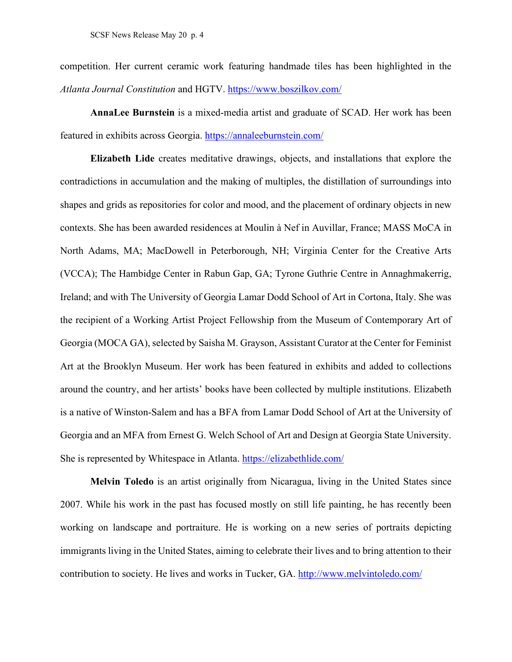competition. Her current ceramic work featuring handmade tiles has been highlighted in the *Atlanta Journal Constitution* and HGTV.<https://www.boszilkov.com/>

**AnnaLee Burnstein** is a mixed-media artist and graduate of SCAD. Her work has been featured in exhibits across Georgia.<https://annaleeburnstein.com/>

**Elizabeth Lide** creates meditative drawings, objects, and installations that explore the contradictions in accumulation and the making of multiples, the distillation of surroundings into shapes and grids as repositories for color and mood, and the placement of ordinary objects in new contexts. She has been awarded residences at Moulin à Nef in Auvillar, France; MASS MoCA in North Adams, MA; MacDowell in Peterborough, NH; Virginia Center for the Creative Arts (VCCA); The Hambidge Center in Rabun Gap, GA; Tyrone Guthrie Centre in Annaghmakerrig, Ireland; and with The University of Georgia Lamar Dodd School of Art in Cortona, Italy. She was the recipient of a Working Artist Project Fellowship from the Museum of Contemporary Art of Georgia (MOCA GA), selected by Saisha M. Grayson, Assistant Curator at the Center for Feminist Art at the Brooklyn Museum. Her work has been featured in exhibits and added to collections around the country, and her artists' books have been collected by multiple institutions. Elizabeth is a native of Winston-Salem and has a BFA from Lamar Dodd School of Art at the University of Georgia and an MFA from Ernest G. Welch School of Art and Design at Georgia State University. She is represented by Whitespace in Atlanta. <https://elizabethlide.com/>

**Melvin Toledo** is an artist originally from Nicaragua, living in the United States since 2007. While his work in the past has focused mostly on still life painting, he has recently been working on landscape and portraiture. He is working on a new series of portraits depicting immigrants living in the United States, aiming to celebrate their lives and to bring attention to their contribution to society. He lives and works in Tucker, GA.<http://www.melvintoledo.com/>